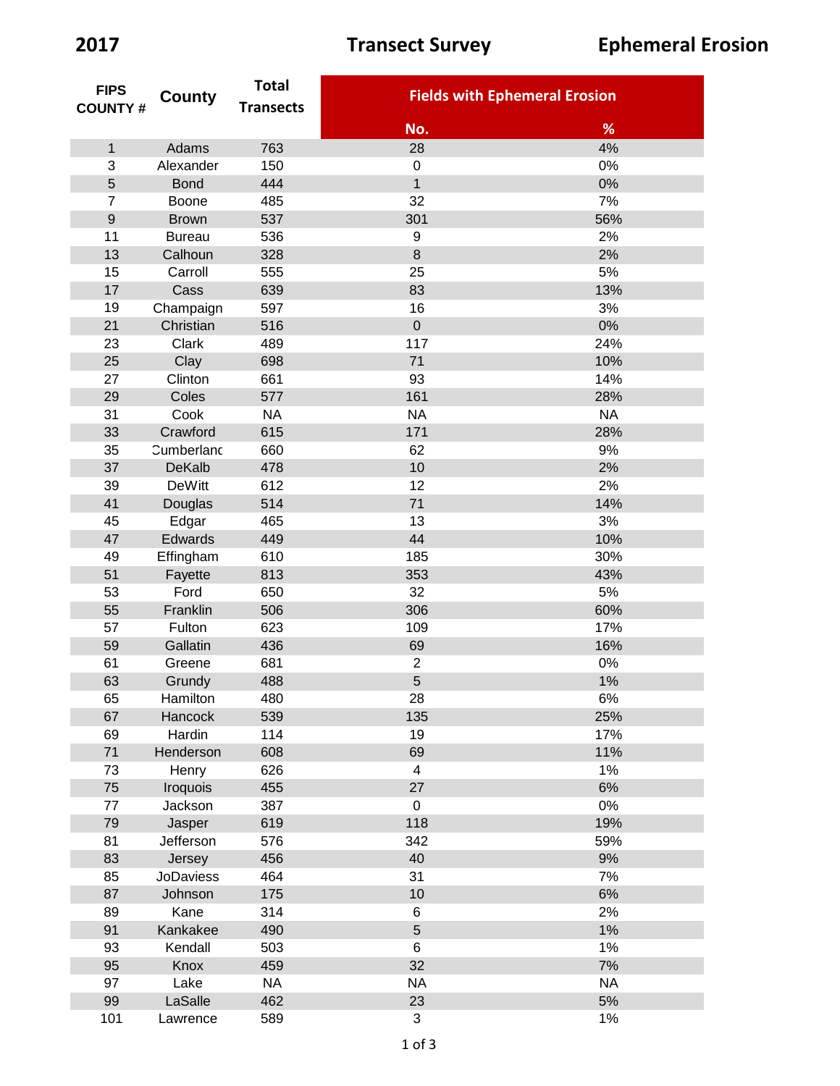| <b>FIPS</b><br><b>COUNTY#</b> | County           | <b>Total</b><br><b>Transects</b> | <b>Fields with Ephemeral Erosion</b> |           |
|-------------------------------|------------------|----------------------------------|--------------------------------------|-----------|
|                               |                  |                                  |                                      |           |
|                               |                  |                                  | No.                                  | %         |
| $\mathbf 1$                   | Adams            | 763                              | 28                                   | 4%        |
| 3                             | Alexander        | 150                              | $\boldsymbol{0}$                     | $0\%$     |
| 5                             | <b>Bond</b>      | 444                              | $\mathbf{1}$                         | $0\%$     |
| $\overline{7}$                | Boone            | 485                              | 32                                   | 7%        |
| $\mathsf g$                   | <b>Brown</b>     | 537                              | 301                                  | 56%       |
| 11                            | <b>Bureau</b>    | 536                              | 9                                    | 2%        |
| 13                            | Calhoun          | 328                              | 8                                    | 2%        |
| 15                            | Carroll          | 555                              | 25                                   | 5%        |
| 17                            | Cass             | 639                              | 83                                   | 13%       |
| 19                            | Champaign        | 597                              | 16                                   | 3%        |
| 21                            | Christian        | 516                              | $\overline{0}$                       | $0\%$     |
| 23                            | Clark            | 489                              | 117                                  | 24%       |
| 25                            | Clay             | 698                              | 71                                   | 10%       |
| 27                            | Clinton          | 661                              | 93                                   | 14%       |
| 29                            | Coles            | 577                              | 161                                  | 28%       |
| 31                            | Cook             | <b>NA</b>                        | <b>NA</b>                            | <b>NA</b> |
| 33                            | Crawford         | 615                              | 171                                  | 28%       |
| 35                            | Cumberland       | 660                              | 62                                   | 9%        |
| 37                            | <b>DeKalb</b>    | 478                              | 10                                   | 2%        |
| 39                            | <b>DeWitt</b>    | 612                              | 12                                   | 2%        |
| 41                            | Douglas          | 514                              | 71                                   | 14%       |
| 45                            | Edgar            | 465                              | 13                                   | 3%        |
| 47                            | Edwards          | 449                              | 44                                   | 10%       |
| 49                            | Effingham        | 610                              | 185                                  | 30%       |
| 51                            | Fayette          | 813                              | 353                                  | 43%       |
| 53                            | Ford             | 650                              | 32                                   | 5%        |
| 55                            | Franklin         | 506                              | 306                                  | 60%       |
| 57                            | Fulton           | 623                              | 109                                  | 17%       |
| 59                            | Gallatin         | 436                              | 69                                   | 16%       |
| 61                            | Greene           | 681                              | $\overline{2}$                       | $0\%$     |
| 63                            | Grundy           | 488                              | 5                                    | 1%        |
| 65                            | Hamilton         | 480                              | 28                                   | $6\%$     |
| 67                            | Hancock          | 539                              | 135                                  | 25%       |
| 69                            | Hardin           | 114                              | 19                                   | 17%       |
| 71                            | Henderson        | 608                              | 69                                   | 11%       |
| 73                            | Henry            | 626                              | $\overline{4}$                       | 1%        |
| 75                            | Iroquois         | 455                              | 27                                   | 6%        |
| 77                            | Jackson          | 387                              | $\mathbf 0$                          | 0%        |
| 79                            | Jasper           | 619                              | 118                                  | 19%       |
| 81                            | Jefferson        | 576                              | 342                                  | 59%       |
| 83                            | Jersey           | 456                              | 40                                   | 9%        |
| 85                            | <b>JoDaviess</b> | 464                              | 31                                   | 7%        |
| 87                            | Johnson          | 175                              | 10                                   | 6%        |
| 89                            | Kane             | 314                              | 6                                    | 2%        |
| 91                            | Kankakee         | 490                              | 5                                    | 1%        |
| 93                            | Kendall          | 503                              | 6                                    | 1%        |
| 95                            | Knox             | 459                              | 32                                   | 7%        |
| 97                            | Lake             | <b>NA</b>                        | <b>NA</b>                            | <b>NA</b> |
| 99                            | LaSalle          | 462                              | 23                                   | $5%$      |
| 101                           | Lawrence         | 589                              | $\mathfrak{S}$                       | 1%        |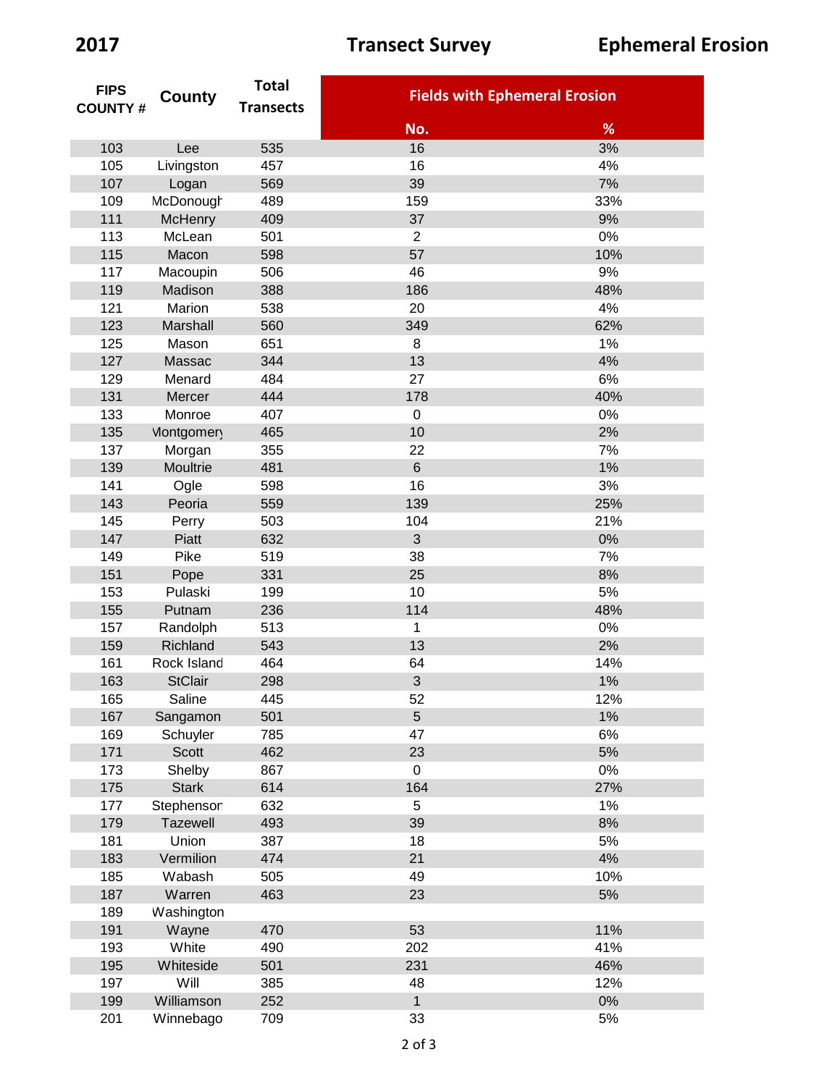| <b>FIPS</b><br><b>COUNTY#</b> | County            | <b>Total</b>     |                                      |       |
|-------------------------------|-------------------|------------------|--------------------------------------|-------|
|                               |                   | <b>Transects</b> | <b>Fields with Ephemeral Erosion</b> |       |
|                               |                   |                  | No.                                  | %     |
| 103                           | Lee               | 535              | 16                                   | 3%    |
| 105                           | Livingston        | 457              | 16                                   | 4%    |
| 107                           | Logan             | 569              | 39                                   | 7%    |
| 109                           | McDonough         | 489              | 159                                  | 33%   |
| 111                           | <b>McHenry</b>    | 409              | 37                                   | 9%    |
| 113                           | McLean            | 501              | $\overline{2}$                       | 0%    |
| 115                           | Macon             | 598              | 57                                   | 10%   |
| 117                           | Macoupin          | 506              | 46                                   | 9%    |
| 119                           | Madison           | 388              | 186                                  | 48%   |
| 121                           | Marion            | 538              | 20                                   | 4%    |
| 123                           | Marshall          | 560              | 349                                  | 62%   |
| 125                           | Mason             | 651              | 8                                    | 1%    |
| 127                           | Massac            | 344              | 13                                   | 4%    |
| 129                           | Menard            | 484              | 27                                   | 6%    |
| 131                           | Mercer            | 444              | 178                                  | 40%   |
| 133                           | Monroe            | 407              | $\pmb{0}$                            | 0%    |
| 135                           | <b>Montgomery</b> | 465              | 10                                   | 2%    |
| 137                           | Morgan            | 355              | 22                                   | 7%    |
| 139                           | Moultrie          | 481              | $6\phantom{1}$                       | 1%    |
| 141                           | Ogle              | 598              | 16                                   | 3%    |
| 143                           | Peoria            | 559              | 139                                  | 25%   |
| 145                           | Perry             | 503              | 104                                  | 21%   |
| 147                           | Piatt             | 632              | 3                                    | 0%    |
| 149                           | Pike              | 519              | 38                                   | 7%    |
| 151                           | Pope              | 331              | 25                                   | 8%    |
| 153                           | Pulaski           | 199              | 10                                   | 5%    |
| 155                           | Putnam            | 236              | 114                                  | 48%   |
| 157                           | Randolph          | 513              | 1                                    | 0%    |
| 159                           | Richland          | 543              | 13                                   | 2%    |
| 161                           | Rock Island       | 464              | 64                                   | 14%   |
| 163                           | <b>StClair</b>    | 298              | $\sqrt{3}$                           | 1%    |
| 165                           | Saline            | 445              | 52                                   | 12%   |
| 167                           | Sangamon          | 501              | 5                                    | 1%    |
| 169                           | Schuyler          | 785              | 47                                   | 6%    |
| 171                           | <b>Scott</b>      | 462              | 23                                   | 5%    |
| 173                           | Shelby            | 867              | 0                                    | 0%    |
| 175                           | <b>Stark</b>      | 614              | 164                                  | 27%   |
| 177                           | Stephenson        | 632              | 5                                    | 1%    |
| 179                           | Tazewell          | 493              | 39                                   | 8%    |
| 181                           | Union             | 387              | 18                                   | 5%    |
| 183                           | Vermilion         | 474              | 21                                   | 4%    |
| 185                           | Wabash            | 505              | 49                                   | 10%   |
| 187                           | Warren            | 463              | 23                                   | $5\%$ |
| 189                           | Washington        |                  |                                      |       |
| 191                           | Wayne             | 470              | 53                                   | 11%   |
| 193                           | White             | 490              | 202                                  | 41%   |
| 195                           | Whiteside         | 501              | 231                                  | 46%   |
| 197                           | Will              | 385              | 48                                   | 12%   |
| 199                           | Williamson        | 252              | $\mathbf{1}$                         | $0\%$ |
| 201                           | Winnebago         | 709              | 33                                   | $5\%$ |